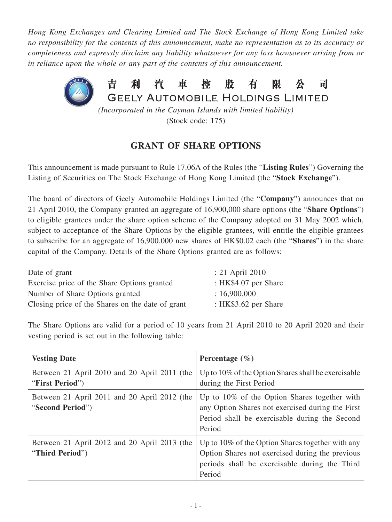*Hong Kong Exchanges and Clearing Limited and The Stock Exchange of Hong Kong Limited take no responsibility for the contents of this announcement, make no representation as to its accuracy or completeness and expressly disclaim any liability whatsoever for any loss howsoever arising from or in reliance upon the whole or any part of the contents of this announcement.*



(Stock code: 175)

## **GRANT OF SHARE OPTIONS**

This announcement is made pursuant to Rule 17.06A of the Rules (the "**Listing Rules**") Governing the Listing of Securities on The Stock Exchange of Hong Kong Limited (the "**Stock Exchange**").

The board of directors of Geely Automobile Holdings Limited (the "**Company**") announces that on 21 April 2010, the Company granted an aggregate of 16,900,000 share options (the "**Share Options**") to eligible grantees under the share option scheme of the Company adopted on 31 May 2002 which, subject to acceptance of the Share Options by the eligible grantees, will entitle the eligible grantees to subscribe for an aggregate of 16,900,000 new shares of HK\$0.02 each (the "**Shares**") in the share capital of the Company. Details of the Share Options granted are as follows:

| Date of grant                                    | $: 21$ April 2010    |
|--------------------------------------------------|----------------------|
| Exercise price of the Share Options granted      | : HK\$4.07 per Share |
| Number of Share Options granted                  | : 16,900,000         |
| Closing price of the Shares on the date of grant | : HK\$3.62 per Share |

The Share Options are valid for a period of 10 years from 21 April 2010 to 20 April 2020 and their vesting period is set out in the following table:

| <b>Vesting Date</b>                                              | Percentage $(\% )$                                                                                                                                             |
|------------------------------------------------------------------|----------------------------------------------------------------------------------------------------------------------------------------------------------------|
| Between 21 April 2010 and 20 April 2011 (the<br>"First Period")  | Up to $10\%$ of the Option Shares shall be exercisable<br>during the First Period                                                                              |
| Between 21 April 2011 and 20 April 2012 (the<br>"Second Period") | Up to 10% of the Option Shares together with<br>any Option Shares not exercised during the First<br>Period shall be exercisable during the Second<br>Period    |
| Between 21 April 2012 and 20 April 2013 (the<br>"Third Period")  | Up to 10% of the Option Shares together with any<br>Option Shares not exercised during the previous<br>periods shall be exercisable during the Third<br>Period |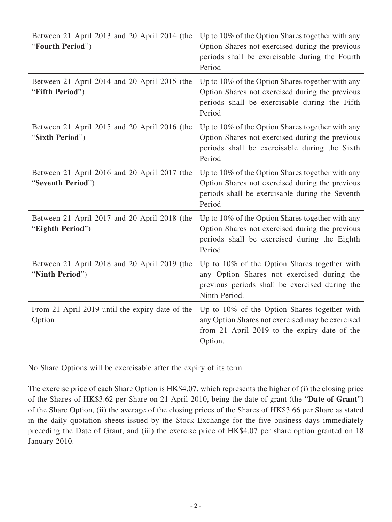| Between 21 April 2013 and 20 April 2014 (the<br>"Fourth Period")  | Up to 10% of the Option Shares together with any<br>Option Shares not exercised during the previous<br>periods shall be exercisable during the Fourth<br>Period  |
|-------------------------------------------------------------------|------------------------------------------------------------------------------------------------------------------------------------------------------------------|
| Between 21 April 2014 and 20 April 2015 (the<br>"Fifth Period")   | Up to 10% of the Option Shares together with any<br>Option Shares not exercised during the previous<br>periods shall be exercisable during the Fifth<br>Period   |
| Between 21 April 2015 and 20 April 2016 (the<br>"Sixth Period")   | Up to 10% of the Option Shares together with any<br>Option Shares not exercised during the previous<br>periods shall be exercisable during the Sixth<br>Period   |
| Between 21 April 2016 and 20 April 2017 (the<br>"Seventh Period") | Up to 10% of the Option Shares together with any<br>Option Shares not exercised during the previous<br>periods shall be exercisable during the Seventh<br>Period |
| Between 21 April 2017 and 20 April 2018 (the<br>"Eighth Period")  | Up to 10% of the Option Shares together with any<br>Option Shares not exercised during the previous<br>periods shall be exercised during the Eighth<br>Period.   |
| Between 21 April 2018 and 20 April 2019 (the<br>"Ninth Period")   | Up to 10% of the Option Shares together with<br>any Option Shares not exercised during the<br>previous periods shall be exercised during the<br>Ninth Period.    |
| From 21 April 2019 until the expiry date of the<br>Option         | Up to 10% of the Option Shares together with<br>any Option Shares not exercised may be exercised<br>from 21 April 2019 to the expiry date of the<br>Option.      |

No Share Options will be exercisable after the expiry of its term.

The exercise price of each Share Option is HK\$4.07, which represents the higher of (i) the closing price of the Shares of HK\$3.62 per Share on 21 April 2010, being the date of grant (the "**Date of Grant**") of the Share Option, (ii) the average of the closing prices of the Shares of HK\$3.66 per Share as stated in the daily quotation sheets issued by the Stock Exchange for the five business days immediately preceding the Date of Grant, and (iii) the exercise price of HK\$4.07 per share option granted on 18 January 2010.